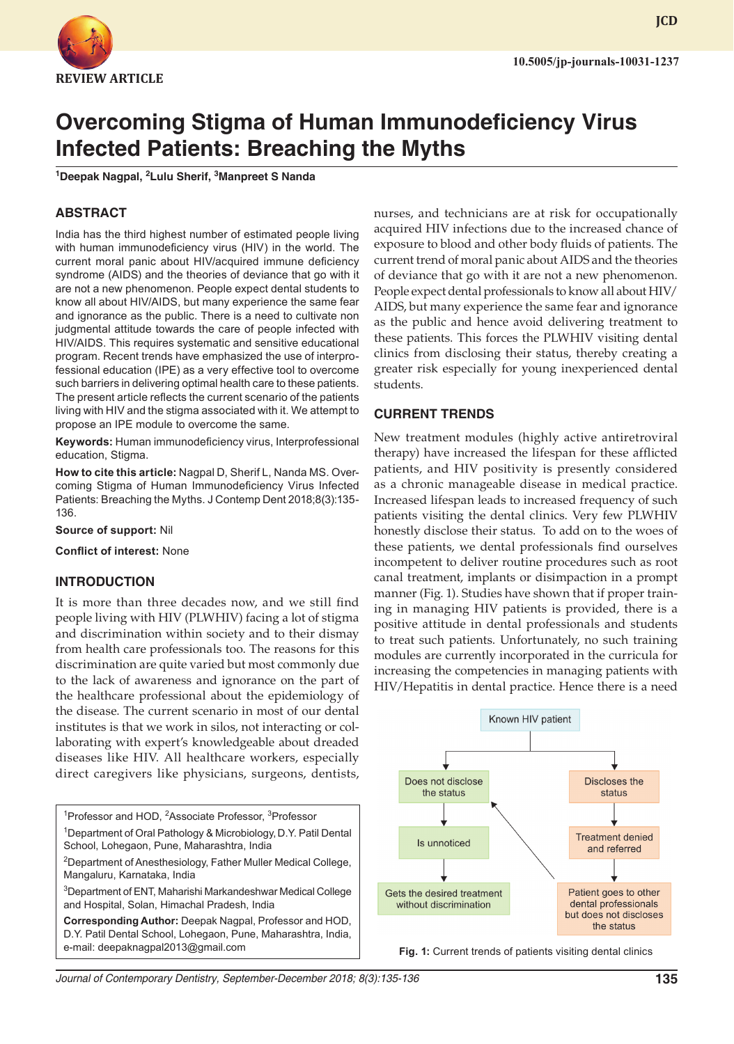

**JCD**

# **Overcoming Stigma of Human Immunodeficiency Virus Infected Patients: Breaching the Myths**

**1 Deepak Nagpal, <sup>2</sup> Lulu Sherif, <sup>3</sup> Manpreet S Nanda**

## **ABSTRACT**

India has the third highest number of estimated people living with human immunodeficiency virus (HIV) in the world. The current moral panic about HIV/acquired immune deficiency syndrome (AIDS) and the theories of deviance that go with it are not a new phenomenon. People expect dental students to know all about HIV/AIDS, but many experience the same fear and ignorance as the public. There is a need to cultivate non judgmental attitude towards the care of people infected with HIV/AIDS. This requires systematic and sensitive educational program. Recent trends have emphasized the use of interprofessional education (IPE) as a very effective tool to overcome such barriers in delivering optimal health care to these patients. The present article reflects the current scenario of the patients living with HIV and the stigma associated with it. We attempt to propose an IPE module to overcome the same.

**Keywords:** Human immunodeficiency virus, Interprofessional education, Stigma.

**How to cite this article:** Nagpal D, Sherif L, Nanda MS. Overcoming Stigma of Human Immunodeficiency Virus Infected Patients: Breaching the Myths. J Contemp Dent 2018;8(3):135- 136.

**Source of support:** Nil

**Conflict of interest:** None

#### **INTRODUCTION**

It is more than three decades now, and we still find people living with HIV (PLWHIV) facing a lot of stigma and discrimination within society and to their dismay from health care professionals too. The reasons for this discrimination are quite varied but most commonly due to the lack of awareness and ignorance on the part of the healthcare professional about the epidemiology of the disease. The current scenario in most of our dental institutes is that we work in silos, not interacting or collaborating with expert's knowledgeable about dreaded diseases like HIV. All healthcare workers, especially direct caregivers like physicians, surgeons, dentists,

<sup>1</sup>Professor and HOD, <sup>2</sup>Associate Professor, <sup>3</sup>Professor <sup>1</sup> Department of Oral Pathology & Microbiology, D.Y. Patil Dental School, Lohegaon, Pune, Maharashtra, India <sup>2</sup>Department of Anesthesiology, Father Muller Medical College, Mangaluru, Karnataka, India 3 Department of ENT, Maharishi Markandeshwar Medical College and Hospital, Solan, Himachal Pradesh, India **Corresponding Author:** Deepak Nagpal, Professor and HOD, D.Y. Patil Dental School, Lohegaon, Pune, Maharashtra, India, e-mail: deepaknagpal2013@gmail.com

nurses, and technicians are at risk for occupationally acquired HIV infections due to the increased chance of exposure to blood and other body fluids of patients. The current trend of moral panic about AIDS and the theories of deviance that go with it are not a new phenomenon. People expect dental professionals to know all about HIV/ AIDS, but many experience the same fear and ignorance as the public and hence avoid delivering treatment to these patients. This forces the PLWHIV visiting dental clinics from disclosing their status, thereby creating a greater risk especially for young inexperienced dental students.

#### **CURRENT TRENDS**

New treatment modules (highly active antiretroviral therapy) have increased the lifespan for these afflicted patients, and HIV positivity is presently considered as a chronic manageable disease in medical practice. Increased lifespan leads to increased frequency of such patients visiting the dental clinics. Very few PLWHIV honestly disclose their status. To add on to the woes of these patients, we dental professionals find ourselves incompetent to deliver routine procedures such as root canal treatment, implants or disimpaction in a prompt manner (Fig. 1). Studies have shown that if proper training in managing HIV patients is provided, there is a positive attitude in dental professionals and students to treat such patients. Unfortunately, no such training modules are currently incorporated in the curricula for increasing the competencies in managing patients with HIV/Hepatitis in dental practice. Hence there is a need



**Fig. 1:** Current trends of patients visiting dental clinics